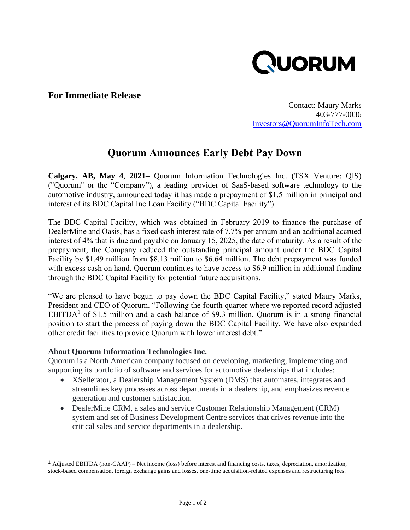

## **For Immediate Release**

Contact: Maury Marks 403-777-0036 [Investors@QuorumInfoTech.com](mailto:Investors@QuorumInfoTech.com)

## **Quorum Announces Early Debt Pay Down**

**Calgary, AB, May 4**, **2021–** Quorum Information Technologies Inc. (TSX Venture: QIS) ("Quorum" or the "Company"), a leading provider of SaaS-based software technology to the automotive industry, announced today it has made a prepayment of \$1.5 million in principal and interest of its BDC Capital Inc Loan Facility ("BDC Capital Facility").

The BDC Capital Facility, which was obtained in February 2019 to finance the purchase of DealerMine and Oasis, has a fixed cash interest rate of 7.7% per annum and an additional accrued interest of 4% that is due and payable on January 15, 2025, the date of maturity. As a result of the prepayment, the Company reduced the outstanding principal amount under the BDC Capital Facility by \$1.49 million from \$8.13 million to \$6.64 million. The debt prepayment was funded with excess cash on hand. Quorum continues to have access to \$6.9 million in additional funding through the BDC Capital Facility for potential future acquisitions.

"We are pleased to have begun to pay down the BDC Capital Facility," stated Maury Marks, President and CEO of Quorum. "Following the fourth quarter where we reported record adjusted EBITDA<sup>1</sup> of \$1.5 million and a cash balance of \$9.3 million, Quorum is in a strong financial position to start the process of paying down the BDC Capital Facility. We have also expanded other credit facilities to provide Quorum with lower interest debt."

## **About Quorum Information Technologies Inc.**

Quorum is a North American company focused on developing, marketing, implementing and supporting its portfolio of software and services for automotive dealerships that includes:

- XSellerator, a Dealership Management System (DMS) that automates, integrates and streamlines key processes across departments in a dealership, and emphasizes revenue generation and customer satisfaction.
- DealerMine CRM, a sales and service Customer Relationship Management (CRM) system and set of Business Development Centre services that drives revenue into the critical sales and service departments in a dealership.

<sup>1</sup> Adjusted EBITDA (non-GAAP) – Net income (loss) before interest and financing costs, taxes, depreciation, amortization, stock-based compensation, foreign exchange gains and losses, one-time acquisition-related expenses and restructuring fees.